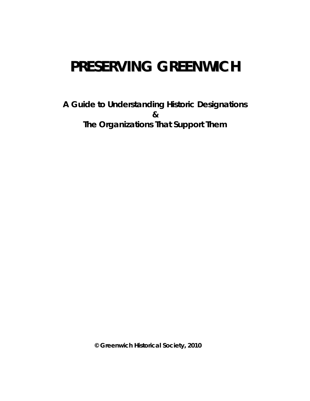# **PRESERVING GREENWICH**

**A Guide to Understanding Historic Designations & The Organizations That Support Them**

 **© Greenwich Historical Society, 2010**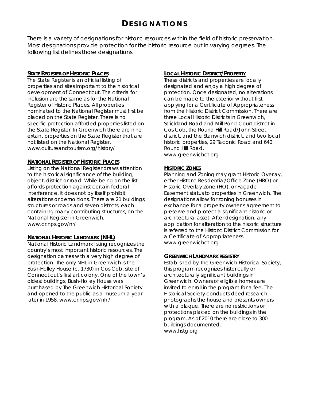There is a variety of designations for historic resources within the field of historic preservation. Most designations provide protection for the historic resource but in varying degrees. The following list defines those designations.

The State Register is an official listing of properties and sites important to the historical development of Connecticut. The criteria for inclusion are the same as for the National Register of Historic Places. All properties nominated to the National Register must first be placed on the State Register. There is no specific protection afforded properties listed on the State Register. In Greenwich there are nine extant properties on the State Register that are not listed on the National Register. www.cultureandtourism.org/history/ Round Hill Road.

#### **NATIONAL REGISTER OF HISTORIC PLACES**

Listing on the National Register draws attention **HISTORIC ZONES** to the historical significance of the building, object, district or road. While being on the list affords protection against certain federal interference, it does not by itself prohibit alterations or demolitions. There are 21 buildings, structures or roads and seven districts, each containing many contributing structures, on the National Register in Greenwich. www.cr.nps.gov/nr/

#### **NATIONAL HISTORIC LANDMARK (NHL)**

National Historic Landmark listing recognizes the www.greenwichct.org country's most important historic resources. The designation carries with a very high degree of protection. The only NHL in Greenwich is the Bush-Holley House (c. 1730) in Cos Cob, site of Connecticut's first art colony. One of the town's oldest buildings, Bush-Holley House was purchased by The Greenwich Historical Society and opened to the public as a museum a year later in 1958. www.cr.nps.gov/nhl/

#### **STATE REGISTER OF HISTORIC PLACES LOCAL HISTORIC DISTRICT/PROPERTY**

These districts and properties are locally designated and enjoy a high degree of protection. Once designated, no alterations can be made to the exterior without first applying for a Certificate of Appropriateness from the Historic District Commission. There are three Local Historic Districts in Greenwich, Strickland Road and Mill Pond Court district in Cos Cob, the Round Hill Road/John Street district, and the Stanwich district, and two local historic properties, 29 Taconic Road and 640 www.greenwichct.org

Planning and Zoning may grant Historic Overlay, either Historic Residential/Office Zone (HRO) or Historic Overlay Zone (HO), or Façade Easement status to properties in Greenwich. The designations allow for zoning bonuses in exchange for a property owner's agreement to preserve and protect a significant historic or architectural asset. After designation, any application for alteration to the historic structure is referred to the Historic District Commission for a Certificate of Appropriateness.

#### **GREENWICH LANDMARK REGISTRY**

Established by The Greenwich Historical Society, this program recognizes historically or architecturally significant buildings in Greenwich. Owners of eligible homes are invited to enroll in the program for a fee. The Historical Society conducts deed research, photographs the house and presents owners with a plaque. There are no restrictions or protections placed on the buildings in the program. As of 2010 there are close to 300 buildings documented. www.hstg.org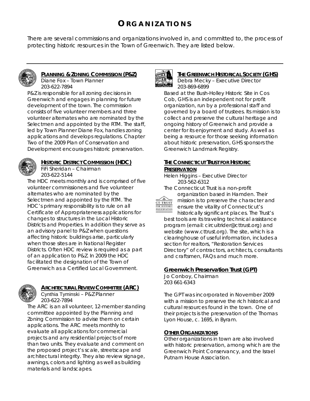# **O RGANIZATIONS**

There are several commissions and organizations involved in, and committed to, the process of protecting historic resources in the Town of Greenwich. They are listed below.



## **PLANNING & ZONING COMMISSION (P&Z)**

Diane Fox – Town Planner 203-622-7894

P&Z is responsible for all zoning decisions in Greenwich and engages in planning for future development of the town. The commission consists of five volunteer members and three volunteer alternates who are nominated by the Selectmen and appointed by the RTM. The staff, led by Town Planner Diane Fox, handles zoning applications and develops regulations. Chapter Two of the 2009 Plan of Conservation and Development encourages historic preservation.



### **HISTORIC DISTRICT COMMISSION (HDC)**

FiFi Sheridan – Chairman 203-622-5144

The HDC meets monthly and is comprised of five volunteer commissioners and five volunteer alternates who are nominated by the Selectmen and appointed by the RTM. The HDC's primary responsibility is to rule on all Certificate of Appropriateness applications for changes to structures in the Local Historic Districts and Properties. In addition they serve as an advisory panel to P&Z when questions affecting historic buildings arise, particularly when those sites are in National Register Districts. Often HDC review is required as a part of an application to P&Z. In 2009 the HDC facilitated the designation of the Town of Greenwich as a Certified Local Government.



### **ARCHITECTURAL REVIEW COMMITTEE (ARC)**

Cynthia Tyminski – P&Z Planner 203-622-7894

The ARC is an all volunteer, 12-member standing committee appointed by the Planning and Zoning Commission to advise them on certain applications. The ARC meets monthly to evaluate all applications for commercial projects and any residential projects of more than two units. They evaluate and comment on the proposed project's scale, streetscape and architectural integrity. They also review signage, awnings, colors and lighting as well as building materials and landscapes.



#### **THE GREENWICH HISTORICAL SOCIETY (GHS)**

Debra Mecky – Executive Director 203-869-6899

Based at the Bush-Holley Historic Site in Cos Cob, GHS is an independent not for profit organization, run by a professional staff and governed by a board of trustees. Its mission is to collect and preserve the cultural heritage and ongoing history of Greenwich and provide a center for its enjoyment and study. As well as being a resource for those seeking information about historic preservation, GHS sponsors the Greenwich Landmark Registry.

### **THE CONNECTICUT TRUST FOR HISTORIC PRESERVATION**

Helen Higgins – Executive Director 203-562-6312

The Connecticut Trust is a non-profit



organization based in Hamden. Their mission is to preserve the character and ensure the vitality of Connecticut's

historically significant places. The Trust's best tools are its traveling technical assistance program (email: circuitrider@cttrust.org) and website (www.cttrust.org). The site, which is a clearinghouse of useful information, includes a section for realtors, "Restoration Services Directory" of contractors, architects, consultants and craftsmen, FAQs and much more.

### **Greenwich Preservation Trust (GPT)**

Jo Conboy, Chairman 203 661-6343

The GPT was incorporated in November 2009 with a mission to preserve the rich historical and cultural resources found in the town. One of their projects is the preservation of the Thomas Lyon House, c. 1695, in Byram.

#### **OTHER ORGANIZATIONS**

Other organizations in town are also involved with historic preservation, among which are the Greenwich Point Conservancy, and the Israel Putnam House Association.